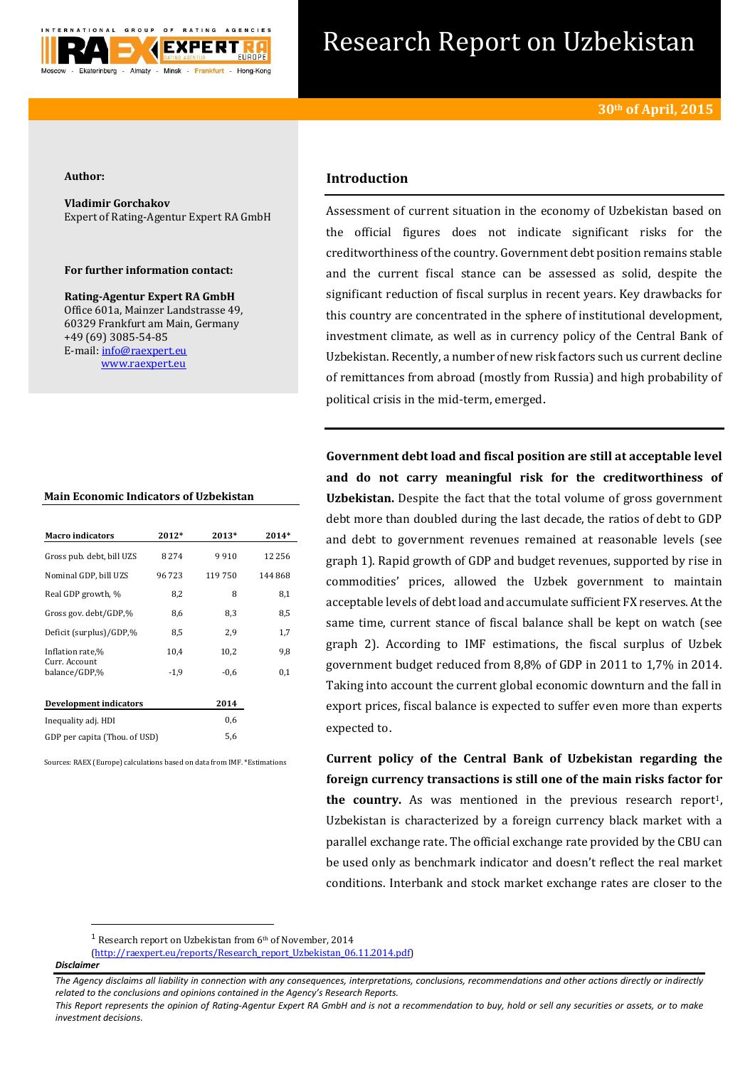

# Research Report on Uzbekistan

#### **Author:**

**Vladimir Gorchakov** Expert of Rating-Agentur Expert RA GmbH

## **For further information contact:**

**Rating-Agentur Expert RA GmbH** Office 601a, Mainzer Landstrasse 49, 60329 Frankfurt am Main, Germany +49 (69) 3085-54-85 E-mail[: info@raexpert.eu](mailto:info@raexpert.eu) [www.raexpert.eu](http://raexpert.eu/)

## **Main Economic Indicators of Uzbekistan**

| <b>Macro</b> indicators        | 2012*   | 2013*  | 2014*    |
|--------------------------------|---------|--------|----------|
| Gross pub. debt, bill UZS      | 8 2 7 4 | 9910   | 12 2 5 6 |
| Nominal GDP, bill UZS          | 96 723  | 119750 | 144868   |
| Real GDP growth, %             | 8,2     | 8      | 8,1      |
| Gross gov. debt/GDP,%          | 8,6     | 8,3    | 8,5      |
| Deficit (surplus)/GDP,%        | 8,5     | 2,9    | 1,7      |
| Inflation rate,%               | 10,4    | 10,2   | 9,8      |
| Curr. Account<br>balance/GDP,% | $-1.9$  | $-0.6$ | 0,1      |
| Development indicators         |         | 2014   |          |
| Inequality adj. HDI            |         | 0,6    |          |
| GDP per capita (Thou. of USD)  |         | 5,6    |          |

Sources: RAEX (Europe) calculations based on data from IMF. \*Estimations

# **Introduction**

Assessment of current situation in the economy of Uzbekistan based on the official figures does not indicate significant risks for the creditworthiness of the country. Government debt position remains stable and the current fiscal stance can be assessed as solid, despite the significant reduction of fiscal surplus in recent years. Key drawbacks for this country are concentrated in the sphere of institutional development, investment climate, as well as in currency policy of the Central Bank of Uzbekistan. Recently, a number of new risk factors such us current decline of remittances from abroad (mostly from Russia) and high probability of political crisis in the mid-term, emerged.

**Government debt load and fiscal position are still at acceptable level and do not carry meaningful risk for the creditworthiness of Uzbekistan.** Despite the fact that the total volume of gross government debt more than doubled during the last decade, the ratios of debt to GDP and debt to government revenues remained at reasonable levels (see graph 1). Rapid growth of GDP and budget revenues, supported by rise in commodities' prices, allowed the Uzbek government to maintain acceptable levels of debt load and accumulate sufficient FX reserves. At the same time, current stance of fiscal balance shall be kept on watch (see graph 2). According to IMF estimations, the fiscal surplus of Uzbek government budget reduced from 8,8% of GDP in 2011 to 1,7% in 2014. Taking into account the current global economic downturn and the fall in export prices, fiscal balance is expected to suffer even more than experts expected to.

**Current policy of the Central Bank of Uzbekistan regarding the foreign currency transactions is still one of the main risks factor for the country.** As was mentioned in the previous research report<sup>1</sup>, Uzbekistan is characterized by a foreign currency black market with a parallel exchange rate. The official exchange rate provided by the CBU can be used only as benchmark indicator and doesn't reflect the real market conditions. Interbank and stock market exchange rates are closer to the

1

<sup>&</sup>lt;sup>1</sup> Research report on Uzbekistan from  $6<sup>th</sup>$  of November, 2014

[<sup>\(</sup>http://raexpert.eu/reports/Research\\_report\\_Uzbekistan\\_06.11.2014.pdf\)](http://raexpert.eu/reports/Research_report_Uzbekistan_06.11.2014.pdf)

*Disclaimer* 

*The Agency disclaims all liability in connection with any consequences, interpretations, conclusions, recommendations and other actions directly or indirectly related to the conclusions and opinions contained in the Agency's Research Reports.*

*This Report represents the opinion of Rating-Agentur Expert RA GmbH and is not a recommendation to buy, hold or sell any securities or assets, or to make investment decisions.*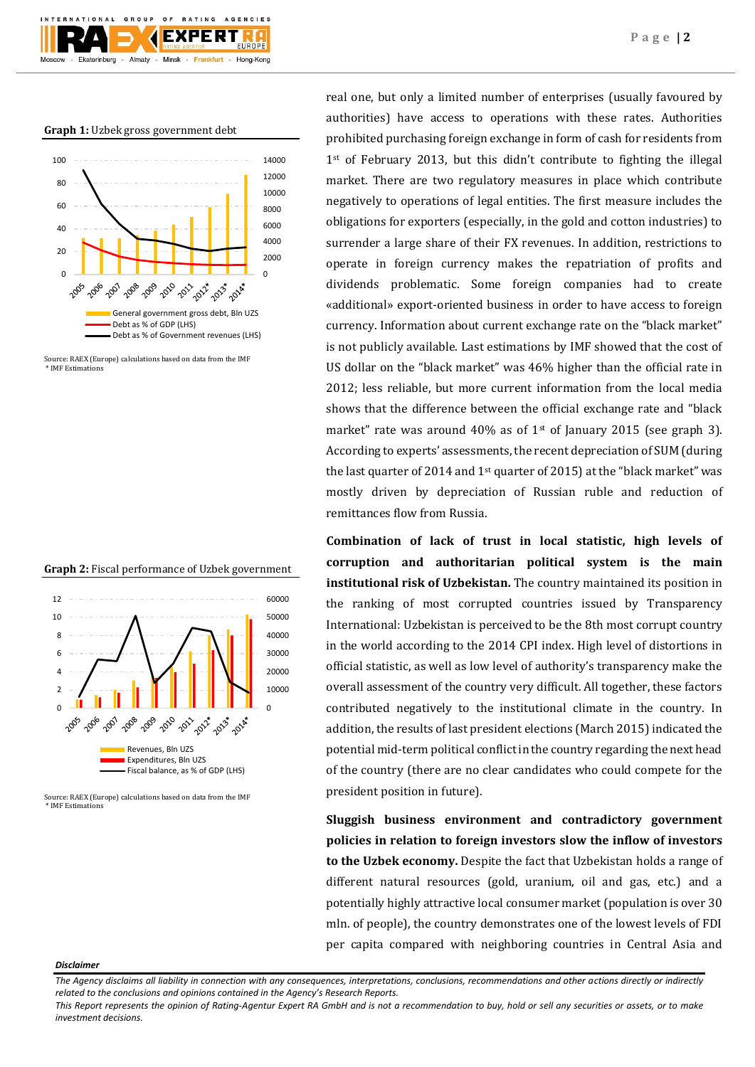# **Graph 1:** Uzbek gross government debt

GROUP

TIONAL

- Ekaterinburg



**BATING** 

**EXPERT** 

Almaty - Minsk - Frankfurt - Hong-Kong

 $O F$ 

AGENCIES

Source: RAEX (Europe) calculations based on data from the IMF \* IMF Estimations





Source: RAEX (Europe) calculations based on data from the IMF \* IMF Estimations

real one, but only a limited number of enterprises (usually favoured by authorities) have access to operations with these rates. Authorities prohibited purchasing foreign exchange in form of cash for residents from 1<sup>st</sup> of February 2013, but this didn't contribute to fighting the illegal market. There are two regulatory measures in place which contribute negatively to operations of legal entities. The first measure includes the obligations for exporters (especially, in the gold and cotton industries) to surrender a large share of their FX revenues. In addition, restrictions to operate in foreign currency makes the repatriation of profits and dividends problematic. Some foreign companies had to create «additional» export-oriented business in order to have access to foreign currency. Information about current exchange rate on the "black market" is not publicly available. Last estimations by IMF showed that the cost of US dollar on the "black market" was 46% higher than the official rate in 2012; less reliable, but more current information from the local media shows that the difference between the official exchange rate and "black market" rate was around  $40\%$  as of 1<sup>st</sup> of January 2015 (see graph 3). According to experts' assessments, the recent depreciation of SUM (during the last quarter of 2014 and  $1<sup>st</sup>$  quarter of 2015) at the "black market" was mostly driven by depreciation of Russian ruble and reduction of remittances flow from Russia.

**Combination of lack of trust in local statistic, high levels of corruption and authoritarian political system is the main institutional risk of Uzbekistan.** The country maintained its position in the ranking of most corrupted countries issued by Transparency International: Uzbekistan is perceived to be the 8th most corrupt country in the world according to the 2014 CPI index. High level of distortions in official statistic, as well as low level of authority's transparency make the overall assessment of the country very difficult. All together, these factors contributed negatively to the institutional climate in the country. In addition, the results of last president elections (March 2015) indicated the potential mid-term political conflict in the country regarding the next head of the country (there are no clear candidates who could compete for the president position in future).

**Sluggish business environment and contradictory government policies in relation to foreign investors slow the inflow of investors to the Uzbek economy.** Despite the fact that Uzbekistan holds a range of different natural resources (gold, uranium, oil and gas, etc.) and a potentially highly attractive local consumer market (population is over 30 mln. of people), the country demonstrates one of the lowest levels of FDI per capita compared with neighboring countries in Central Asia and

#### *Disclaimer*

*This Report represents the opinion of Rating-Agentur Expert RA GmbH and is not a recommendation to buy, hold or sell any securities or assets, or to make investment decisions.*

*The Agency disclaims all liability in connection with any consequences, interpretations, conclusions, recommendations and other actions directly or indirectly related to the conclusions and opinions contained in the Agency's Research Reports.*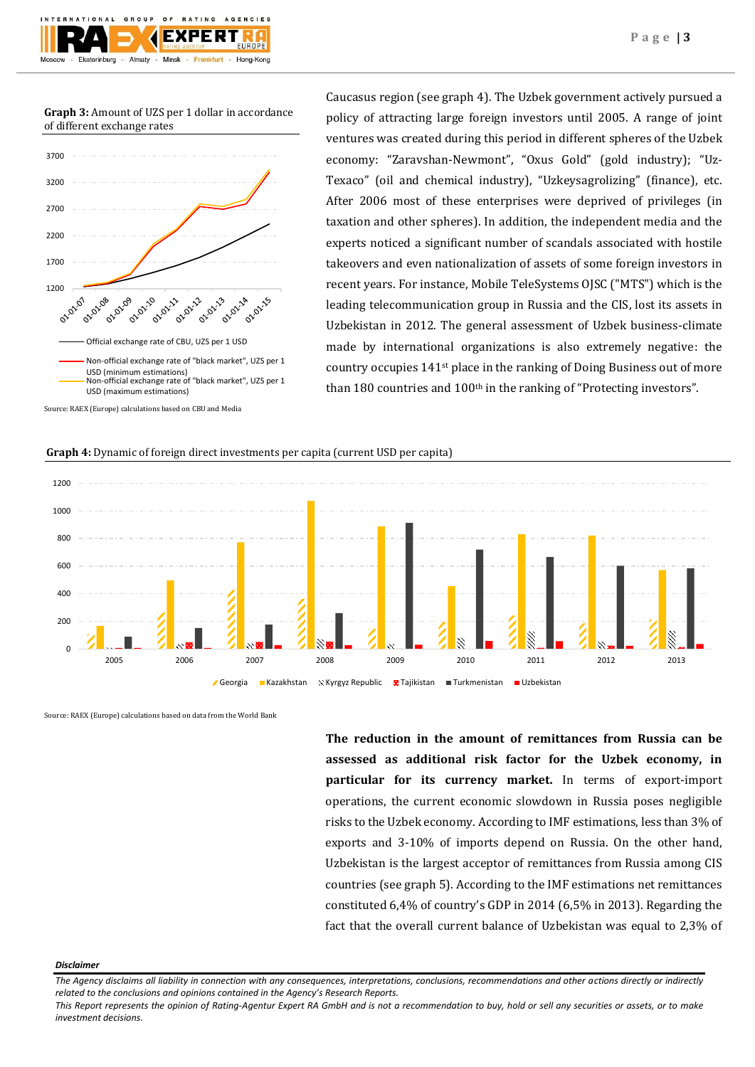**Graph 3:** Amount of UZS per 1 dollar in accordance of different exchange rates



Caucasus region (see graph 4). The Uzbek government actively pursued a policy of attracting large foreign investors until 2005. A range of joint ventures was created during this period in different spheres of the Uzbek economy: "Zaravshan-Newmont", "Oxus Gold" (gold industry); "Uz-Texaco" (oil and chemical industry), "Uzkeysagrolizing" (finance), etc. After 2006 most of these enterprises were deprived of privileges (in taxation and other spheres). In addition, the independent media and the experts noticed a significant number of scandals associated with hostile takeovers and even nationalization of assets of some foreign investors in recent years. For instance, Mobile TeleSystems OJSC ("MTS") which is the leading telecommunication group in Russia and the CIS, lost its assets in Uzbekistan in 2012. The general assessment of Uzbek business-climate made by international organizations is also extremely negative: the country occupies 141st place in the ranking of Doing Business out of more than 180 countries and 100<sup>th</sup> in the ranking of "Protecting investors".

### **Graph 4:** Dynamic of foreign direct investments per capita (current USD per capita)



Source: RAEX (Europe) calculations based on data from the World Bank

**The reduction in the amount of remittances from Russia can be assessed as additional risk factor for the Uzbek economy, in particular for its currency market.** In terms of export-import operations, the current economic slowdown in Russia poses negligible risks to the Uzbek economy. According to IMF estimations, less than 3% of exports and 3-10% of imports depend on Russia. On the other hand, Uzbekistan is the largest acceptor of remittances from Russia among CIS countries (see graph 5). According to the IMF estimations net remittances constituted 6,4% of country's GDP in 2014 (6,5% in 2013). Regarding the fact that the overall current balance of Uzbekistan was equal to 2,3% of

#### *Disclaimer*

*This Report represents the opinion of Rating-Agentur Expert RA GmbH and is not a recommendation to buy, hold or sell any securities or assets, or to make investment decisions.*

*The Agency disclaims all liability in connection with any consequences, interpretations, conclusions, recommendations and other actions directly or indirectly related to the conclusions and opinions contained in the Agency's Research Reports.*